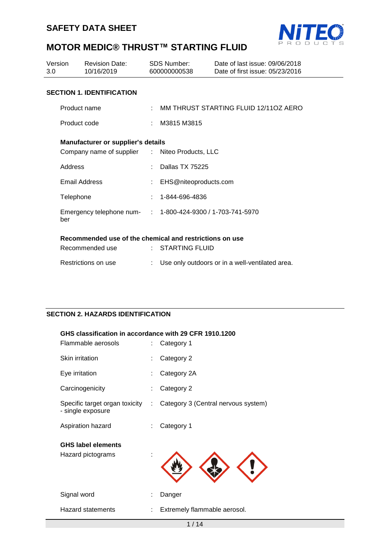



| 3.0 | Version              | Revision Date:<br>10/16/2019                               |    | SDS Number:<br>600000000538 | Date of last issue: 09/06/2018<br>Date of first issue: 05/23/2016 |
|-----|----------------------|------------------------------------------------------------|----|-----------------------------|-------------------------------------------------------------------|
|     |                      | <b>SECTION 1. IDENTIFICATION</b>                           |    |                             |                                                                   |
|     | Product name         |                                                            |    |                             | : MM THRUST STARTING FLUID 12/11OZ AERO                           |
|     | Product code         |                                                            |    | $\therefore$ M3815 M3815    |                                                                   |
|     |                      | <b>Manufacturer or supplier's details</b>                  |    |                             |                                                                   |
|     |                      | Company name of supplier : Niteo Products, LLC             |    |                             |                                                                   |
|     | Address              |                                                            |    | Dallas TX 75225             |                                                                   |
|     | <b>Email Address</b> |                                                            |    | : EHS@niteoproducts.com     |                                                                   |
|     | Telephone            |                                                            |    | $: 1 - 844 - 696 - 4836$    |                                                                   |
|     | ber                  | Emergency telephone num- : 1-800-424-9300 / 1-703-741-5970 |    |                             |                                                                   |
|     |                      | Recommended use of the chemical and restrictions on use    |    |                             |                                                                   |
|     |                      | Recommended use                                            |    | $:$ STARTING FLUID          |                                                                   |
|     |                      | Restrictions on use                                        | ÷. |                             | Use only outdoors or in a well-ventilated area.                   |

## **SECTION 2. HAZARDS IDENTIFICATION**

#### **GHS classification in accordance with 29 CFR 1910.1200**

| Flammable aerosols                                  | Category 1                          |
|-----------------------------------------------------|-------------------------------------|
| Skin irritation                                     | Category 2                          |
| Eye irritation                                      | Category 2A                         |
| Carcinogenicity                                     | Category 2                          |
| Specific target organ toxicity<br>- single exposure | Category 3 (Central nervous system) |
| Aspiration hazard                                   | Category 1                          |
| <b>GHS label elements</b>                           |                                     |
| Hazard pictograms                                   |                                     |
| Signal word                                         | Danger                              |
| Hazard statements                                   | Extremely flammable aerosol.        |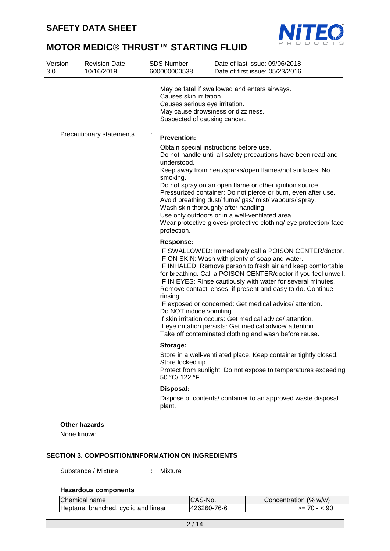

| 10/16/2019               | <b>SDS Number:</b><br>Date of last issue: 09/06/2018<br>600000000538<br>Date of first issue: 05/23/2016                                                                                                                                                                                                                                                                                                                                                                                                                                                                                                                                                     |
|--------------------------|-------------------------------------------------------------------------------------------------------------------------------------------------------------------------------------------------------------------------------------------------------------------------------------------------------------------------------------------------------------------------------------------------------------------------------------------------------------------------------------------------------------------------------------------------------------------------------------------------------------------------------------------------------------|
|                          | May be fatal if swallowed and enters airways.<br>Causes skin irritation.<br>Causes serious eye irritation.<br>May cause drowsiness or dizziness.<br>Suspected of causing cancer.                                                                                                                                                                                                                                                                                                                                                                                                                                                                            |
| Precautionary statements | <b>Prevention:</b>                                                                                                                                                                                                                                                                                                                                                                                                                                                                                                                                                                                                                                          |
|                          | Obtain special instructions before use.<br>Do not handle until all safety precautions have been read and<br>understood.<br>Keep away from heat/sparks/open flames/hot surfaces. No<br>smoking.<br>Do not spray on an open flame or other ignition source.<br>Pressurized container: Do not pierce or burn, even after use.<br>Avoid breathing dust/ fume/ gas/ mist/ vapours/ spray.<br>Wash skin thoroughly after handling.<br>Use only outdoors or in a well-ventilated area.<br>Wear protective gloves/ protective clothing/ eye protection/ face<br>protection.                                                                                         |
|                          | <b>Response:</b>                                                                                                                                                                                                                                                                                                                                                                                                                                                                                                                                                                                                                                            |
|                          | IF SWALLOWED: Immediately call a POISON CENTER/doctor.<br>IF ON SKIN: Wash with plenty of soap and water.<br>IF INHALED: Remove person to fresh air and keep comfortable<br>for breathing. Call a POISON CENTER/doctor if you feel unwell.<br>IF IN EYES: Rinse cautiously with water for several minutes.<br>Remove contact lenses, if present and easy to do. Continue<br>rinsing.<br>IF exposed or concerned: Get medical advice/attention.<br>Do NOT induce vomiting.<br>If skin irritation occurs: Get medical advice/attention.<br>If eye irritation persists: Get medical advice/attention.<br>Take off contaminated clothing and wash before reuse. |
|                          | Storage:                                                                                                                                                                                                                                                                                                                                                                                                                                                                                                                                                                                                                                                    |
|                          | Store in a well-ventilated place. Keep container tightly closed.<br>Store locked up.<br>Protect from sunlight. Do not expose to temperatures exceeding<br>50 °C/ 122 °F.                                                                                                                                                                                                                                                                                                                                                                                                                                                                                    |
|                          | Disposal:<br>Dispose of contents/ container to an approved waste disposal                                                                                                                                                                                                                                                                                                                                                                                                                                                                                                                                                                                   |

#### **SECTION 3. COMPOSITION/INFORMATION ON INGREDIENTS**

Substance / Mixture : Mixture

#### **Hazardous components**

| <b>IChemical name</b>                | <b>ICAS-No.</b> | Concentration (% w/w) |
|--------------------------------------|-----------------|-----------------------|
| Heptane, branched, cyclic and linear | 426260-76-6     | 90<br>>= 70 - <       |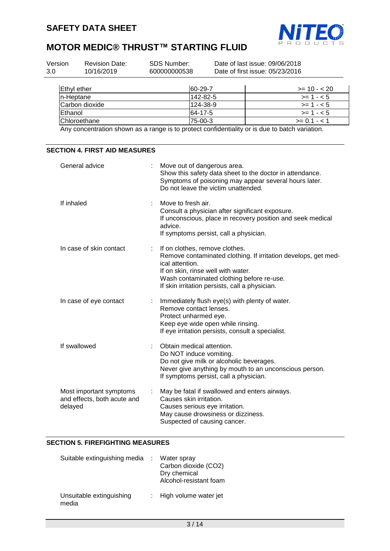

| Version<br>3.0 | <b>Revision Date:</b><br>10/16/2019 | SDS Number:<br>600000000538 | Date of last issue: 09/06/2018<br>Date of first issue: 05/23/2016 |                |  |
|----------------|-------------------------------------|-----------------------------|-------------------------------------------------------------------|----------------|--|
|                | Ethyl ether                         | 60-29-7                     |                                                                   | $>= 10 - 20$   |  |
| In-Heptane     |                                     |                             | 142-82-5                                                          | $>= 1 - 5$     |  |
|                | Carbon dioxide                      |                             | 124-38-9                                                          | $>= 1 - 5$     |  |
| Ethanol        |                                     | 64-17-5                     |                                                                   | $>= 1 - 5$     |  |
|                | <b>IChloroethane</b>                | 75-00-3                     |                                                                   | $>= 0.1 - 1.1$ |  |

Any concentration shown as a range is to protect confidentiality or is due to batch variation.

| <b>SECTION 4. FIRST AID MEASURES</b>                              |                                                                                                                                                                                                                                                                |
|-------------------------------------------------------------------|----------------------------------------------------------------------------------------------------------------------------------------------------------------------------------------------------------------------------------------------------------------|
| General advice                                                    | Move out of dangerous area.<br>t.<br>Show this safety data sheet to the doctor in attendance.<br>Symptoms of poisoning may appear several hours later.<br>Do not leave the victim unattended.                                                                  |
| If inhaled                                                        | Move to fresh air.<br>Consult a physician after significant exposure.<br>If unconscious, place in recovery position and seek medical<br>advice.<br>If symptoms persist, call a physician.                                                                      |
| In case of skin contact                                           | If on clothes, remove clothes.<br>t.<br>Remove contaminated clothing. If irritation develops, get med-<br>ical attention.<br>If on skin, rinse well with water.<br>Wash contaminated clothing before re-use.<br>If skin irritation persists, call a physician. |
| In case of eye contact                                            | Immediately flush eye(s) with plenty of water.<br>Remove contact lenses.<br>Protect unharmed eye.<br>Keep eye wide open while rinsing.<br>If eye irritation persists, consult a specialist.                                                                    |
| If swallowed                                                      | Obtain medical attention.<br>Do NOT induce vomiting.<br>Do not give milk or alcoholic beverages.<br>Never give anything by mouth to an unconscious person.<br>If symptoms persist, call a physician.                                                           |
| Most important symptoms<br>and effects, both acute and<br>delayed | May be fatal if swallowed and enters airways.<br>Causes skin irritation.<br>Causes serious eye irritation.<br>May cause drowsiness or dizziness.<br>Suspected of causing cancer.                                                                               |

#### **SECTION 5. FIREFIGHTING MEASURES**

| Suitable extinguishing media      | Water spray<br>Carbon dioxide (CO2)<br>Dry chemical<br>Alcohol-resistant foam |
|-----------------------------------|-------------------------------------------------------------------------------|
| Unsuitable extinguishing<br>media | : High volume water jet                                                       |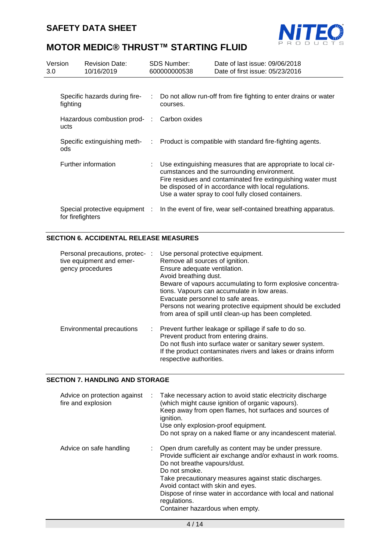

| 3.0 | Version                                   | <b>Revision Date:</b><br>10/16/2019 | SDS Number:<br>600000000538                                                                                                                                                                                                                                                                | Date of last issue: 09/06/2018<br>Date of first issue: 05/23/2016                        |
|-----|-------------------------------------------|-------------------------------------|--------------------------------------------------------------------------------------------------------------------------------------------------------------------------------------------------------------------------------------------------------------------------------------------|------------------------------------------------------------------------------------------|
|     |                                           |                                     |                                                                                                                                                                                                                                                                                            |                                                                                          |
|     | Specific hazards during fire-<br>fighting |                                     | courses.                                                                                                                                                                                                                                                                                   | Do not allow run-off from fire fighting to enter drains or water                         |
|     | Hazardous combustion prod- :<br>ucts      |                                     | Carbon oxides                                                                                                                                                                                                                                                                              |                                                                                          |
|     | ods                                       |                                     |                                                                                                                                                                                                                                                                                            | Specific extinguishing meth- : Product is compatible with standard fire-fighting agents. |
|     | Further information                       |                                     | Use extinguishing measures that are appropriate to local cir-<br>cumstances and the surrounding environment.<br>Fire residues and contaminated fire extinguishing water must<br>be disposed of in accordance with local regulations.<br>Use a water spray to cool fully closed containers. |                                                                                          |
|     | for firefighters                          | Special protective equipment :      |                                                                                                                                                                                                                                                                                            | In the event of fire, wear self-contained breathing apparatus.                           |

## **SECTION 6. ACCIDENTAL RELEASE MEASURES**

| Personal precautions, protec-:<br>tive equipment and emer-<br>gency procedures | Use personal protective equipment.<br>Remove all sources of ignition.<br>Ensure adequate ventilation.<br>Avoid breathing dust.<br>Beware of vapours accumulating to form explosive concentra-<br>tions. Vapours can accumulate in low areas.<br>Evacuate personnel to safe areas.<br>Persons not wearing protective equipment should be excluded<br>from area of spill until clean-up has been completed. |
|--------------------------------------------------------------------------------|-----------------------------------------------------------------------------------------------------------------------------------------------------------------------------------------------------------------------------------------------------------------------------------------------------------------------------------------------------------------------------------------------------------|
| Environmental precautions                                                      | : Prevent further leakage or spillage if safe to do so.<br>Prevent product from entering drains.<br>Do not flush into surface water or sanitary sewer system.<br>If the product contaminates rivers and lakes or drains inform<br>respective authorities.                                                                                                                                                 |

## **SECTION 7. HANDLING AND STORAGE**

| Advice on protection against<br>fire and explosion | : Take necessary action to avoid static electricity discharge<br>(which might cause ignition of organic vapours).<br>Keep away from open flames, hot surfaces and sources of<br>ignition.<br>Use only explosion-proof equipment.<br>Do not spray on a naked flame or any incandescent material.                                                                                           |
|----------------------------------------------------|-------------------------------------------------------------------------------------------------------------------------------------------------------------------------------------------------------------------------------------------------------------------------------------------------------------------------------------------------------------------------------------------|
| Advice on safe handling                            | Open drum carefully as content may be under pressure.<br>Provide sufficient air exchange and/or exhaust in work rooms.<br>Do not breathe vapours/dust.<br>Do not smoke.<br>Take precautionary measures against static discharges.<br>Avoid contact with skin and eyes.<br>Dispose of rinse water in accordance with local and national<br>regulations.<br>Container hazardous when empty. |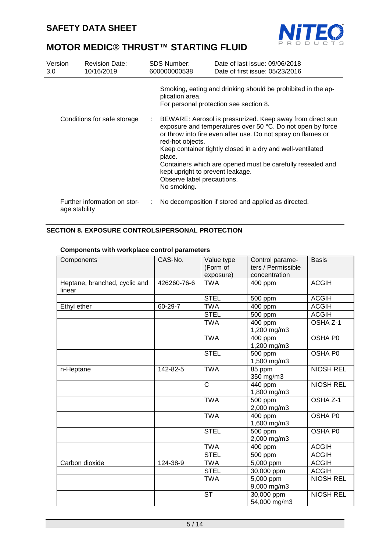

| Version<br>3.0 <sub>2</sub> | <b>Revision Date:</b><br>10/16/2019           |  | SDS Number:<br>600000000538                                                                                                                                                                                                                                                                                                                                                                                                        | Date of last issue: 09/06/2018<br>Date of first issue: 05/23/2016                                      |
|-----------------------------|-----------------------------------------------|--|------------------------------------------------------------------------------------------------------------------------------------------------------------------------------------------------------------------------------------------------------------------------------------------------------------------------------------------------------------------------------------------------------------------------------------|--------------------------------------------------------------------------------------------------------|
|                             |                                               |  | plication area.                                                                                                                                                                                                                                                                                                                                                                                                                    | Smoking, eating and drinking should be prohibited in the ap-<br>For personal protection see section 8. |
|                             | Conditions for safe storage                   |  | BEWARE: Aerosol is pressurized. Keep away from direct sun<br>exposure and temperatures over 50 °C. Do not open by force<br>or throw into fire even after use. Do not spray on flames or<br>red-hot objects.<br>Keep container tightly closed in a dry and well-ventilated<br>place.<br>Containers which are opened must be carefully resealed and<br>kept upright to prevent leakage.<br>Observe label precautions.<br>No smoking. |                                                                                                        |
|                             | Further information on stor-<br>age stability |  |                                                                                                                                                                                                                                                                                                                                                                                                                                    | No decomposition if stored and applied as directed.                                                    |

## **SECTION 8. EXPOSURE CONTROLS/PERSONAL PROTECTION**

| Components                              | CAS-No.     | Value type            | Control parame-<br>ters / Permissible | <b>Basis</b>     |
|-----------------------------------------|-------------|-----------------------|---------------------------------------|------------------|
|                                         |             | (Form of<br>exposure) | concentration                         |                  |
| Heptane, branched, cyclic and<br>linear | 426260-76-6 | <b>TWA</b>            | 400 ppm                               | <b>ACGIH</b>     |
|                                         |             | <b>STEL</b>           | 500 ppm                               | <b>ACGIH</b>     |
| Ethyl ether                             | 60-29-7     | <b>TWA</b>            | 400 ppm                               | <b>ACGIH</b>     |
|                                         |             | <b>STEL</b>           | 500 ppm                               | <b>ACGIH</b>     |
|                                         |             | <b>TWA</b>            | 400 ppm<br>1,200 mg/m3                | OSHA Z-1         |
|                                         |             | <b>TWA</b>            | 400 ppm<br>1,200 mg/m3                | OSHA P0          |
|                                         |             | <b>STEL</b>           | 500 ppm<br>1,500 mg/m3                | OSHA P0          |
| n-Heptane                               | 142-82-5    | <b>TWA</b>            | 85 ppm<br>350 mg/m3                   | <b>NIOSH REL</b> |
|                                         |             | $\mathsf{C}$          | 440 ppm<br>1,800 mg/m3                | <b>NIOSH REL</b> |
|                                         |             | <b>TWA</b>            | 500 ppm<br>2,000 mg/m3                | OSHA Z-1         |
|                                         |             | <b>TWA</b>            | 400 ppm<br>1,600 mg/m3                | OSHA P0          |
|                                         |             | <b>STEL</b>           | 500 ppm<br>2,000 mg/m3                | OSHA P0          |
|                                         |             | <b>TWA</b>            | 400 ppm                               | <b>ACGIH</b>     |
|                                         |             | <b>STEL</b>           | 500 ppm                               | <b>ACGIH</b>     |
| Carbon dioxide                          | 124-38-9    | <b>TWA</b>            | 5,000 ppm                             | <b>ACGIH</b>     |
|                                         |             | <b>STEL</b>           | 30,000 ppm                            | <b>ACGIH</b>     |
|                                         |             | <b>TWA</b>            | $\overline{5,000}$ ppm<br>9,000 mg/m3 | <b>NIOSH REL</b> |
|                                         |             | <b>ST</b>             | 30,000 ppm<br>54,000 mg/m3            | <b>NIOSH REL</b> |

## **Components with workplace control parameters**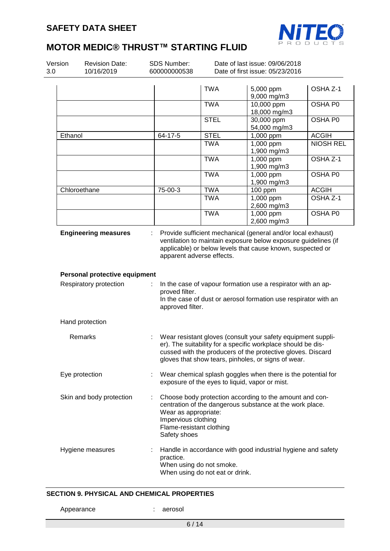

| Version<br>3.0 | SDS Number:<br><b>Revision Date:</b><br>10/16/2019      |                                                                                                                                                                                                                                                    | Date of last issue: 09/06/2018<br>Date of first issue: 05/23/2016<br>600000000538                                                                                                                              |             |                                                                                                                                                                                                                                                                 |                  |
|----------------|---------------------------------------------------------|----------------------------------------------------------------------------------------------------------------------------------------------------------------------------------------------------------------------------------------------------|----------------------------------------------------------------------------------------------------------------------------------------------------------------------------------------------------------------|-------------|-----------------------------------------------------------------------------------------------------------------------------------------------------------------------------------------------------------------------------------------------------------------|------------------|
|                |                                                         |                                                                                                                                                                                                                                                    |                                                                                                                                                                                                                | <b>TWA</b>  | 5,000 ppm<br>9,000 mg/m3                                                                                                                                                                                                                                        | OSHA Z-1         |
|                |                                                         |                                                                                                                                                                                                                                                    |                                                                                                                                                                                                                | <b>TWA</b>  | 10,000 ppm<br>18,000 mg/m3                                                                                                                                                                                                                                      | OSHA P0          |
|                |                                                         |                                                                                                                                                                                                                                                    |                                                                                                                                                                                                                | <b>STEL</b> | 30,000 ppm<br>54,000 mg/m3                                                                                                                                                                                                                                      | OSHA PO          |
| Ethanol        |                                                         |                                                                                                                                                                                                                                                    | 64-17-5                                                                                                                                                                                                        | <b>STEL</b> | 1,000 ppm                                                                                                                                                                                                                                                       | <b>ACGIH</b>     |
|                |                                                         |                                                                                                                                                                                                                                                    |                                                                                                                                                                                                                | <b>TWA</b>  | 1,000 ppm<br>1,900 mg/m3                                                                                                                                                                                                                                        | <b>NIOSH REL</b> |
|                |                                                         |                                                                                                                                                                                                                                                    |                                                                                                                                                                                                                | <b>TWA</b>  | 1,000 ppm<br>1,900 mg/m3                                                                                                                                                                                                                                        | OSHA Z-1         |
|                |                                                         |                                                                                                                                                                                                                                                    |                                                                                                                                                                                                                | <b>TWA</b>  | 1,000 ppm<br>1,900 mg/m3                                                                                                                                                                                                                                        | OSHA P0          |
|                | Chloroethane                                            |                                                                                                                                                                                                                                                    | 75-00-3                                                                                                                                                                                                        | <b>TWA</b>  | 100 ppm                                                                                                                                                                                                                                                         | <b>ACGIH</b>     |
|                |                                                         |                                                                                                                                                                                                                                                    |                                                                                                                                                                                                                | <b>TWA</b>  | 1,000 ppm                                                                                                                                                                                                                                                       | OSHA Z-1         |
|                |                                                         |                                                                                                                                                                                                                                                    |                                                                                                                                                                                                                | <b>TWA</b>  | 2,600 mg/m3<br>1,000 ppm                                                                                                                                                                                                                                        | OSHA P0          |
|                |                                                         |                                                                                                                                                                                                                                                    |                                                                                                                                                                                                                |             | 2,600 mg/m3                                                                                                                                                                                                                                                     |                  |
|                | Personal protective equipment<br>Respiratory protection |                                                                                                                                                                                                                                                    | apparent adverse effects.<br>proved filter.<br>approved filter.                                                                                                                                                |             | ventilation to maintain exposure below exposure guidelines (if<br>applicable) or below levels that cause known, suspected or<br>In the case of vapour formation use a respirator with an ap-<br>In the case of dust or aerosol formation use respirator with an |                  |
|                | Hand protection                                         |                                                                                                                                                                                                                                                    |                                                                                                                                                                                                                |             |                                                                                                                                                                                                                                                                 |                  |
|                | Remarks                                                 | Wear resistant gloves (consult your safety equipment suppli-<br>er). The suitability for a specific workplace should be dis-<br>cussed with the producers of the protective gloves. Discard<br>gloves that show tears, pinholes, or signs of wear. |                                                                                                                                                                                                                |             |                                                                                                                                                                                                                                                                 |                  |
|                | Eye protection                                          | Wear chemical splash goggles when there is the potential for<br>÷<br>exposure of the eyes to liquid, vapor or mist.                                                                                                                                |                                                                                                                                                                                                                |             |                                                                                                                                                                                                                                                                 |                  |
|                | Skin and body protection                                | ÷                                                                                                                                                                                                                                                  | Choose body protection according to the amount and con-<br>centration of the dangerous substance at the work place.<br>Wear as appropriate:<br>Impervious clothing<br>Flame-resistant clothing<br>Safety shoes |             |                                                                                                                                                                                                                                                                 |                  |
|                | Hygiene measures                                        | Handle in accordance with good industrial hygiene and safety<br>practice.<br>When using do not smoke.<br>When using do not eat or drink.                                                                                                           |                                                                                                                                                                                                                |             |                                                                                                                                                                                                                                                                 |                  |

## **SECTION 9. PHYSICAL AND CHEMICAL PROPERTIES**

Appearance : aerosol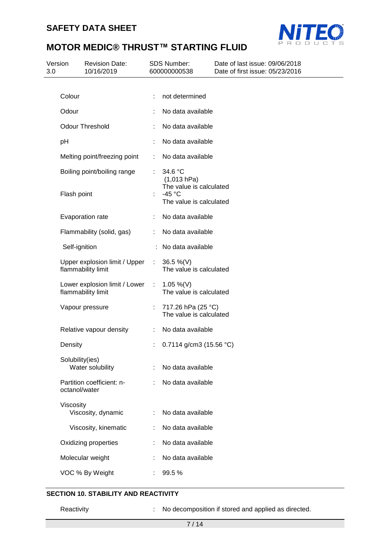

| Version<br>3.0 | <b>Revision Date:</b><br>10/16/2019                 |                | <b>SDS Number:</b><br>600000000538                                     | Date of last issue: 09/06/2018<br>Date of first issue: 05/23/2016 |  |
|----------------|-----------------------------------------------------|----------------|------------------------------------------------------------------------|-------------------------------------------------------------------|--|
|                |                                                     |                |                                                                        |                                                                   |  |
|                | Colour                                              | ÷              | not determined                                                         |                                                                   |  |
|                | Odour                                               |                | No data available                                                      |                                                                   |  |
|                | <b>Odour Threshold</b>                              |                | No data available                                                      |                                                                   |  |
|                | pH                                                  |                | No data available                                                      |                                                                   |  |
|                | Melting point/freezing point                        | ÷              | No data available                                                      |                                                                   |  |
|                | Boiling point/boiling range                         |                | 34.6 °C<br>(1,013 hPa)                                                 |                                                                   |  |
|                | Flash point                                         |                | The value is calculated<br>-45 $^{\circ}$ C<br>The value is calculated |                                                                   |  |
|                | Evaporation rate                                    |                | No data available                                                      |                                                                   |  |
|                | Flammability (solid, gas)                           |                | No data available                                                      |                                                                   |  |
|                | Self-ignition                                       |                | No data available                                                      |                                                                   |  |
|                | Upper explosion limit / Upper<br>flammability limit | $\mathbb{R}^n$ | 36.5 %(V)<br>The value is calculated                                   |                                                                   |  |
|                | Lower explosion limit / Lower<br>flammability limit | ÷              | 1.05 %(V)<br>The value is calculated                                   |                                                                   |  |
|                | Vapour pressure                                     |                | 717.26 hPa (25 °C)<br>The value is calculated                          |                                                                   |  |
|                | Relative vapour density                             | ÷              | No data available                                                      |                                                                   |  |
|                | Density                                             |                | 0.7114 g/cm3 (15.56 °C)                                                |                                                                   |  |
|                | Solubility(ies)<br>Water solubility                 |                | No data available                                                      |                                                                   |  |
|                | Partition coefficient: n-<br>octanol/water          |                | No data available                                                      |                                                                   |  |
|                | Viscosity<br>Viscosity, dynamic                     |                | No data available                                                      |                                                                   |  |
|                | Viscosity, kinematic                                |                | No data available                                                      |                                                                   |  |
|                | Oxidizing properties                                |                | No data available                                                      |                                                                   |  |
|                | Molecular weight                                    |                | No data available                                                      |                                                                   |  |
|                | VOC % By Weight                                     |                | 99.5%                                                                  |                                                                   |  |
|                |                                                     |                |                                                                        |                                                                   |  |

## **SECTION 10. STABILITY AND REACTIVITY**

Reactivity : No decomposition if stored and applied as directed.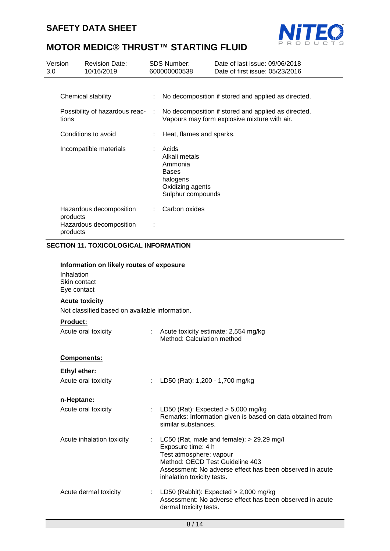

| Version<br>3.0 | <b>Revision Date:</b><br>10/16/2019                                                   |    | <b>SDS Number:</b><br>600000000538                                                                     | Date of last issue: 09/06/2018<br>Date of first issue: 05/23/2016                                   |
|----------------|---------------------------------------------------------------------------------------|----|--------------------------------------------------------------------------------------------------------|-----------------------------------------------------------------------------------------------------|
|                | Chemical stability                                                                    |    |                                                                                                        | No decomposition if stored and applied as directed.                                                 |
|                | Possibility of hazardous reac-<br>tions                                               |    |                                                                                                        | No decomposition if stored and applied as directed.<br>Vapours may form explosive mixture with air. |
|                | Conditions to avoid                                                                   |    | Heat, flames and sparks.                                                                               |                                                                                                     |
|                | Incompatible materials                                                                | ÷. | Acids<br>Alkali metals<br>Ammonia<br><b>Bases</b><br>halogens<br>Oxidizing agents<br>Sulphur compounds |                                                                                                     |
|                | Hazardous decomposition<br>products<br>Hazardous decomposition<br>products            |    | Carbon oxides                                                                                          |                                                                                                     |
|                | <b>SECTION 11. TOXICOLOGICAL INFORMATION</b>                                          |    |                                                                                                        |                                                                                                     |
|                | Information on likely routes of exposure<br>Inhalation<br>Skin contact<br>Eye contact |    |                                                                                                        |                                                                                                     |
|                | <b>Acute toxicity</b><br>Not classified based on available information.               |    |                                                                                                        |                                                                                                     |
|                | <b>Product:</b><br>Acute oral toxicity                                                |    | Acute toxicity estimate: 2,554 mg/kg<br>Method: Calculation method                                     |                                                                                                     |
|                | Components:                                                                           |    |                                                                                                        |                                                                                                     |
|                | <b>Ethyl ether:</b>                                                                   |    |                                                                                                        |                                                                                                     |
|                | Acute oral toxicity                                                                   | ÷  | LD50 (Rat): 1,200 - 1,700 mg/kg                                                                        |                                                                                                     |
|                | n-Heptane:                                                                            |    |                                                                                                        |                                                                                                     |
|                | Acute oral toxicity                                                                   |    | similar substances.                                                                                    | LD50 (Rat): Expected $>$ 5,000 mg/kg<br>Remarks: Information given is based on data obtained from   |

Acute inhalation toxicity : LC50 (Rat, male and female): > 29.29 mg/l Exposure time: 4 h Test atmosphere: vapour Method: OECD Test Guideline 403 Assessment: No adverse effect has been observed in acute inhalation toxicity tests. Acute dermal toxicity : LD50 (Rabbit): Expected > 2,000 mg/kg Assessment: No adverse effect has been observed in acute dermal toxicity tests.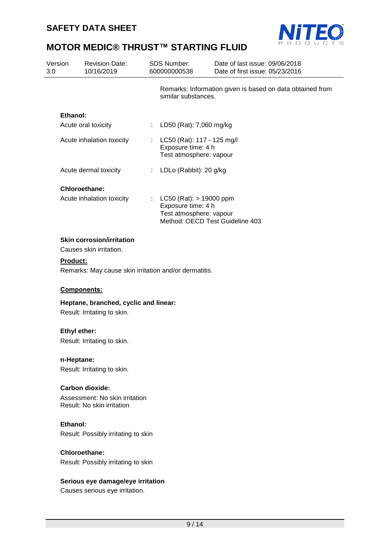

| Version<br>3.0 |                     | <b>Revision Date:</b><br>10/16/2019                                 |                | SDS Number:<br>600000000538                                                                                     | Date of last issue: 09/06/2018<br>Date of first issue: 05/23/2016 |
|----------------|---------------------|---------------------------------------------------------------------|----------------|-----------------------------------------------------------------------------------------------------------------|-------------------------------------------------------------------|
|                |                     |                                                                     |                | similar substances.                                                                                             | Remarks: Information given is based on data obtained from         |
|                | Ethanol:            |                                                                     |                |                                                                                                                 |                                                                   |
|                |                     | Acute oral toxicity                                                 | $\mathbb{Z}^n$ | LD50 (Rat): 7,060 mg/kg                                                                                         |                                                                   |
|                |                     | Acute inhalation toxicity                                           |                | LC50 (Rat): 117 - 125 mg/l<br>Exposure time: 4 h<br>Test atmosphere: vapour                                     |                                                                   |
|                |                     | Acute dermal toxicity                                               | ÷              | LDLo (Rabbit): 20 g/kg                                                                                          |                                                                   |
|                |                     | <b>Chloroethane:</b>                                                |                |                                                                                                                 |                                                                   |
|                |                     | Acute inhalation toxicity                                           |                | $LC50$ (Rat): $> 19000$ ppm<br>Exposure time: 4 h<br>Test atmosphere: vapour<br>Method: OECD Test Guideline 403 |                                                                   |
|                |                     | <b>Skin corrosion/irritation</b>                                    |                |                                                                                                                 |                                                                   |
|                |                     | Causes skin irritation.                                             |                |                                                                                                                 |                                                                   |
|                | Product:            |                                                                     |                |                                                                                                                 |                                                                   |
|                |                     | Remarks: May cause skin irritation and/or dermatitis.               |                |                                                                                                                 |                                                                   |
|                |                     | Components:                                                         |                |                                                                                                                 |                                                                   |
|                |                     | Heptane, branched, cyclic and linear:                               |                |                                                                                                                 |                                                                   |
|                |                     | Result: Irritating to skin.                                         |                |                                                                                                                 |                                                                   |
|                | <b>Ethyl ether:</b> |                                                                     |                |                                                                                                                 |                                                                   |
|                |                     | Result: Irritating to skin.                                         |                |                                                                                                                 |                                                                   |
|                |                     |                                                                     |                |                                                                                                                 |                                                                   |
|                | n-Heptane:          | Result: Irritating to skin.                                         |                |                                                                                                                 |                                                                   |
|                |                     |                                                                     |                |                                                                                                                 |                                                                   |
|                |                     | <b>Carbon dioxide:</b>                                              |                |                                                                                                                 |                                                                   |
|                |                     | Assessment: No skin irritation<br>Result: No skin irritation        |                |                                                                                                                 |                                                                   |
|                | Ethanol:            |                                                                     |                |                                                                                                                 |                                                                   |
|                |                     | Result: Possibly irritating to skin                                 |                |                                                                                                                 |                                                                   |
|                |                     | <b>Chloroethane:</b>                                                |                |                                                                                                                 |                                                                   |
|                |                     | Result: Possibly irritating to skin                                 |                |                                                                                                                 |                                                                   |
|                |                     | Serious eye damage/eye irritation<br>Causes serious eye irritation. |                |                                                                                                                 |                                                                   |
|                |                     |                                                                     |                |                                                                                                                 |                                                                   |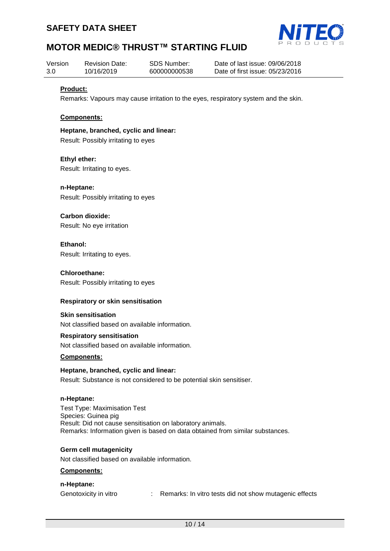



| Version | <b>Revision Date:</b> | SDS Number:  | Date of last issue: 09/06/2018  |
|---------|-----------------------|--------------|---------------------------------|
| 3.0     | 10/16/2019            | 600000000538 | Date of first issue: 05/23/2016 |

#### **Product:**

Remarks: Vapours may cause irritation to the eyes, respiratory system and the skin.

#### **Components:**

**Heptane, branched, cyclic and linear:** Result: Possibly irritating to eyes

**Ethyl ether:** Result: Irritating to eyes.

**n-Heptane:** Result: Possibly irritating to eyes

**Carbon dioxide:** Result: No eye irritation

**Ethanol:** Result: Irritating to eyes.

**Chloroethane:** Result: Possibly irritating to eyes

#### **Respiratory or skin sensitisation**

**Skin sensitisation**

Not classified based on available information.

#### **Respiratory sensitisation**

Not classified based on available information.

#### **Components:**

#### **Heptane, branched, cyclic and linear:**

Result: Substance is not considered to be potential skin sensitiser.

#### **n-Heptane:**

Test Type: Maximisation Test Species: Guinea pig Result: Did not cause sensitisation on laboratory animals. Remarks: Information given is based on data obtained from similar substances.

#### **Germ cell mutagenicity**

Not classified based on available information.

#### **Components:**

#### **n-Heptane:**

Genotoxicity in vitro : Remarks: In vitro tests did not show mutagenic effects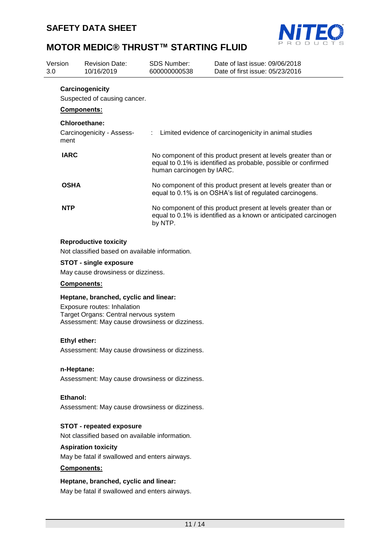

| Version<br>3.0 |                    | <b>Revision Date:</b><br>10/16/2019             | <b>SDS Number:</b><br>600000000538 | Date of last issue: 09/06/2018<br>Date of first issue: 05/23/2016                                                                  |
|----------------|--------------------|-------------------------------------------------|------------------------------------|------------------------------------------------------------------------------------------------------------------------------------|
|                | <b>Components:</b> | Carcinogenicity<br>Suspected of causing cancer. |                                    |                                                                                                                                    |
|                | ment               | Chloroethane:<br>Carcinogenicity - Assess-      |                                    | : Limited evidence of carcinogenicity in animal studies                                                                            |
|                | <b>IARC</b>        |                                                 | human carcinogen by IARC.          | No component of this product present at levels greater than or<br>equal to 0.1% is identified as probable, possible or confirmed   |
|                | <b>OSHA</b>        |                                                 |                                    | No component of this product present at levels greater than or<br>equal to 0.1% is on OSHA's list of regulated carcinogens.        |
|                | <b>NTP</b>         |                                                 | by NTP.                            | No component of this product present at levels greater than or<br>equal to 0.1% is identified as a known or anticipated carcinogen |

#### **Reproductive toxicity**

Not classified based on available information.

#### **STOT - single exposure**

May cause drowsiness or dizziness.

### **Components:**

## **Heptane, branched, cyclic and linear:**

Exposure routes: Inhalation Target Organs: Central nervous system Assessment: May cause drowsiness or dizziness.

#### **Ethyl ether:**

Assessment: May cause drowsiness or dizziness.

#### **n-Heptane:**

Assessment: May cause drowsiness or dizziness.

#### **Ethanol:**

Assessment: May cause drowsiness or dizziness.

### **STOT - repeated exposure**

Not classified based on available information.

## **Aspiration toxicity**

May be fatal if swallowed and enters airways.

#### **Components:**

## **Heptane, branched, cyclic and linear:**

May be fatal if swallowed and enters airways.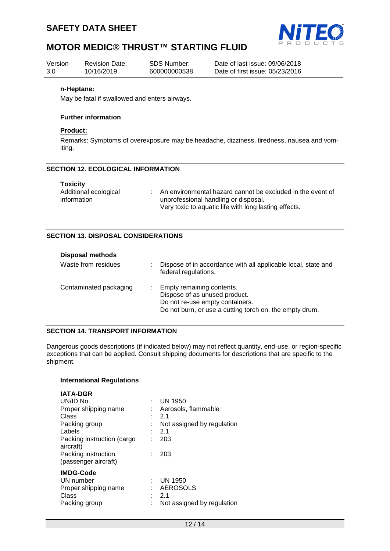



| Version | <b>Revision Date:</b> | SDS Number:  | Date of last issue: 09/06/2018  |
|---------|-----------------------|--------------|---------------------------------|
| 3.0     | 10/16/2019            | 600000000538 | Date of first issue: 05/23/2016 |

#### **n-Heptane:**

May be fatal if swallowed and enters airways.

#### **Further information**

#### **Product:**

Remarks: Symptoms of overexposure may be headache, dizziness, tiredness, nausea and vomiting.

## **SECTION 12. ECOLOGICAL INFORMATION**

| An environmental hazard cannot be excluded in the event of |
|------------------------------------------------------------|
| unprofessional handling or disposal.                       |
| Very toxic to aquatic life with long lasting effects.      |
|                                                            |

#### **SECTION 13. DISPOSAL CONSIDERATIONS**

| <b>Disposal methods</b> |    |                                                                                                                                                            |
|-------------------------|----|------------------------------------------------------------------------------------------------------------------------------------------------------------|
| Waste from residues     | ÷. | Dispose of in accordance with all applicable local, state and<br>federal regulations.                                                                      |
| Contaminated packaging  |    | : Empty remaining contents.<br>Dispose of as unused product.<br>Do not re-use empty containers.<br>Do not burn, or use a cutting torch on, the empty drum. |

#### **SECTION 14. TRANSPORT INFORMATION**

Dangerous goods descriptions (if indicated below) may not reflect quantity, end-use, or region-specific exceptions that can be applied. Consult shipping documents for descriptions that are specific to the shipment.

#### **International Regulations**

| <b>IATA-DGR</b>            |   |                            |
|----------------------------|---|----------------------------|
| UN/ID No.                  | ÷ | UN 1950                    |
| Proper shipping name       |   | Aerosols, flammable        |
| Class                      |   | 2.1                        |
| Packing group              |   | Not assigned by regulation |
| Labels                     |   | -2.1                       |
| Packing instruction (cargo | t | 203                        |
| aircraft)                  |   |                            |
| Packing instruction        |   | 203                        |
| (passenger aircraft)       |   |                            |
| <b>IMDG-Code</b>           |   |                            |
| UN number                  | ÷ | <b>UN 1950</b>             |
| Proper shipping name       |   | AEROSOLS                   |
| Class                      |   | 2.1                        |
| Packing group              |   | Not assigned by regulation |
|                            |   |                            |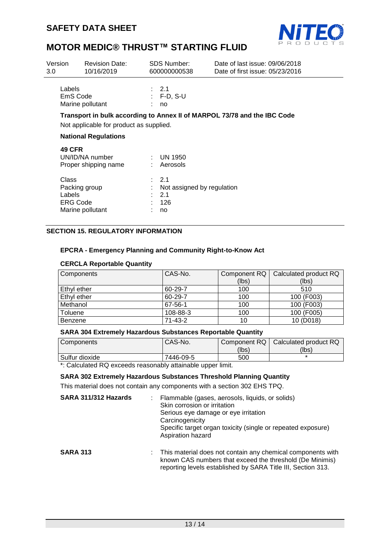

| Version<br>3.0                     | <b>Revision Date:</b><br>10/16/2019     |                  | <b>SDS Number:</b><br>600000000538             | Date of last issue: 09/06/2018<br>Date of first issue: 05/23/2016        |
|------------------------------------|-----------------------------------------|------------------|------------------------------------------------|--------------------------------------------------------------------------|
| Labels<br>EmS Code                 | Marine pollutant                        | : 2.1            | $: F-D, S-U$<br>no                             |                                                                          |
|                                    | Not applicable for product as supplied. |                  |                                                | Transport in bulk according to Annex II of MARPOL 73/78 and the IBC Code |
|                                    | <b>National Regulations</b>             |                  |                                                |                                                                          |
| <b>49 CFR</b>                      | UN/ID/NA number<br>Proper shipping name |                  | $\therefore$ UN 1950<br>Aerosols               |                                                                          |
| Class<br>Labels<br><b>ERG Code</b> | Packing group<br>Marine pollutant       | $\therefore$ 2.1 | Not assigned by regulation<br>2.1<br>126<br>no |                                                                          |

## **SECTION 15. REGULATORY INFORMATION**

## **EPCRA - Emergency Planning and Community Right-to-Know Act**

#### **CERCLA Reportable Quantity**

| <b>Components</b> | CAS-No.       | Component RQ | Calculated product RQ |
|-------------------|---------------|--------------|-----------------------|
|                   |               | (lbs)        | (lbs)                 |
| Ethyl ether       | 60-29-7       | 100          | 510                   |
| Ethyl ether       | 60-29-7       | 100          | 100 (F003)            |
| Methanol          | 67-56-1       | 100          | 100 (F003)            |
| Toluene           | 108-88-3      | 100          | 100 (F005)            |
| Benzene           | $71 - 43 - 2$ | 10           | 10 (D018)             |

#### **SARA 304 Extremely Hazardous Substances Reportable Quantity**

| Components     | CAS-No.   | Component RQ | Calculated product RQ |
|----------------|-----------|--------------|-----------------------|
|                |           | (lbs)        | (Ibs)                 |
| Sulfur dioxide | 7446-09-5 | 500          |                       |

\*: Calculated RQ exceeds reasonably attainable upper limit.

## **SARA 302 Extremely Hazardous Substances Threshold Planning Quantity**

This material does not contain any components with a section 302 EHS TPQ.

| SARA 311/312 Hazards | Flammable (gases, aerosols, liquids, or solids)<br>Skin corrosion or irritation<br>Serious eye damage or eye irritation<br>Carcinogenicity<br>Specific target organ toxicity (single or repeated exposure)<br>Aspiration hazard |
|----------------------|---------------------------------------------------------------------------------------------------------------------------------------------------------------------------------------------------------------------------------|
| <b>SARA 313</b>      | : This material does not contain any chemical components with<br>known CAS numbers that exceed the threshold (De Minimis)<br>reporting levels established by SARA Title III, Section 313.                                       |